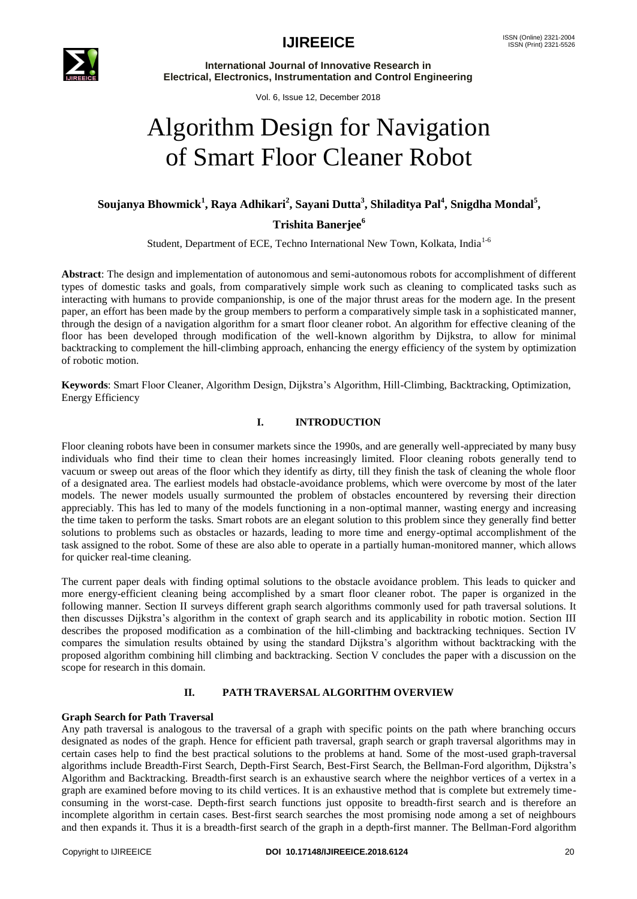

**International Journal of Innovative Research in Electrical, Electronics, Instrumentation and Control Engineering**

Vol. 6, Issue 12, December 2018

# Algorithm Design for Navigation of Smart Floor Cleaner Robot

# **Soujanya Bhowmick<sup>1</sup> , Raya Adhikari<sup>2</sup> , Sayani Dutta<sup>3</sup> , Shiladitya Pal<sup>4</sup> , Snigdha Mondal<sup>5</sup> ,**

**Trishita Banerjee<sup>6</sup>**

Student, Department of ECE, Techno International New Town, Kolkata, India<sup>1-6</sup>

**Abstract**: The design and implementation of autonomous and semi-autonomous robots for accomplishment of different types of domestic tasks and goals, from comparatively simple work such as cleaning to complicated tasks such as interacting with humans to provide companionship, is one of the major thrust areas for the modern age. In the present paper, an effort has been made by the group members to perform a comparatively simple task in a sophisticated manner, through the design of a navigation algorithm for a smart floor cleaner robot. An algorithm for effective cleaning of the floor has been developed through modification of the well-known algorithm by Dijkstra, to allow for minimal backtracking to complement the hill-climbing approach, enhancing the energy efficiency of the system by optimization of robotic motion.

**Keywords**: Smart Floor Cleaner, Algorithm Design, Dijkstra's Algorithm, Hill-Climbing, Backtracking, Optimization, Energy Efficiency

#### **I. INTRODUCTION**

Floor cleaning robots have been in consumer markets since the 1990s, and are generally well-appreciated by many busy individuals who find their time to clean their homes increasingly limited. Floor cleaning robots generally tend to vacuum or sweep out areas of the floor which they identify as dirty, till they finish the task of cleaning the whole floor of a designated area. The earliest models had obstacle-avoidance problems, which were overcome by most of the later models. The newer models usually surmounted the problem of obstacles encountered by reversing their direction appreciably. This has led to many of the models functioning in a non-optimal manner, wasting energy and increasing the time taken to perform the tasks. Smart robots are an elegant solution to this problem since they generally find better solutions to problems such as obstacles or hazards, leading to more time and energy-optimal accomplishment of the task assigned to the robot. Some of these are also able to operate in a partially human-monitored manner, which allows for quicker real-time cleaning.

The current paper deals with finding optimal solutions to the obstacle avoidance problem. This leads to quicker and more energy-efficient cleaning being accomplished by a smart floor cleaner robot. The paper is organized in the following manner. Section II surveys different graph search algorithms commonly used for path traversal solutions. It then discusses Dijkstra's algorithm in the context of graph search and its applicability in robotic motion. Section III describes the proposed modification as a combination of the hill-climbing and backtracking techniques. Section IV compares the simulation results obtained by using the standard Dijkstra's algorithm without backtracking with the proposed algorithm combining hill climbing and backtracking. Section V concludes the paper with a discussion on the scope for research in this domain.

#### **II. PATH TRAVERSAL ALGORITHM OVERVIEW**

#### **Graph Search for Path Traversal**

Any path traversal is analogous to the traversal of a graph with specific points on the path where branching occurs designated as nodes of the graph. Hence for efficient path traversal, graph search or graph traversal algorithms may in certain cases help to find the best practical solutions to the problems at hand. Some of the most-used graph-traversal algorithms include Breadth-First Search, Depth-First Search, Best-First Search, the Bellman-Ford algorithm, Dijkstra's Algorithm and Backtracking. Breadth-first search is an exhaustive search where the neighbor vertices of a vertex in a graph are examined before moving to its child vertices. It is an exhaustive method that is complete but extremely timeconsuming in the worst-case. Depth-first search functions just opposite to breadth-first search and is therefore an incomplete algorithm in certain cases. Best-first search searches the most promising node among a set of neighbours and then expands it. Thus it is a breadth-first search of the graph in a depth-first manner. The Bellman-Ford algorithm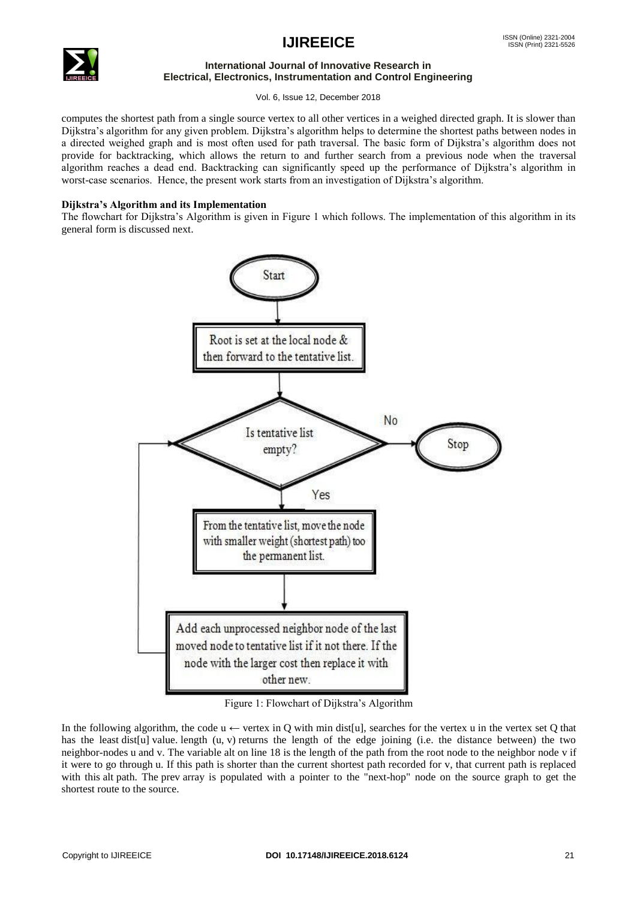### $\text{IJIREEICE}$   $\text{IMSN (Online) }$  2321-2004



#### **International Journal of Innovative Research in Electrical, Electronics, Instrumentation and Control Engineering**

Vol. 6, Issue 12, December 2018

computes the shortest path from a single source vertex to all other vertices in a weighed directed graph. It is slower than Dijkstra's algorithm for any given problem. Dijkstra's algorithm helps to determine the shortest paths between nodes in a directed weighed graph and is most often used for path traversal. The basic form of Dijkstra's algorithm does not provide for backtracking, which allows the return to and further search from a previous node when the traversal algorithm reaches a dead end. Backtracking can significantly speed up the performance of Dijkstra's algorithm in worst-case scenarios. Hence, the present work starts from an investigation of Dijkstra's algorithm.

#### **Dijkstra's Algorithm and its Implementation**

The flowchart for Dijkstra's Algorithm is given in Figure 1 which follows. The implementation of this algorithm in its general form is discussed next.



Figure 1: Flowchart of Dijkstra's Algorithm

In the following algorithm, the code  $u \leftarrow$  vertex in Q with min dist[u], searches for the vertex u in the vertex set Q that has the least dist[u] value. length (u, v) returns the length of the edge joining (i.e. the distance between) the two neighbor-nodes u and v. The variable alt on line 18 is the length of the path from the root node to the neighbor node v if it were to go through u. If this path is shorter than the current shortest path recorded for v, that current path is replaced with this alt path. The prev array is populated with a pointer to the "next-hop" node on the source graph to get the shortest route to the source.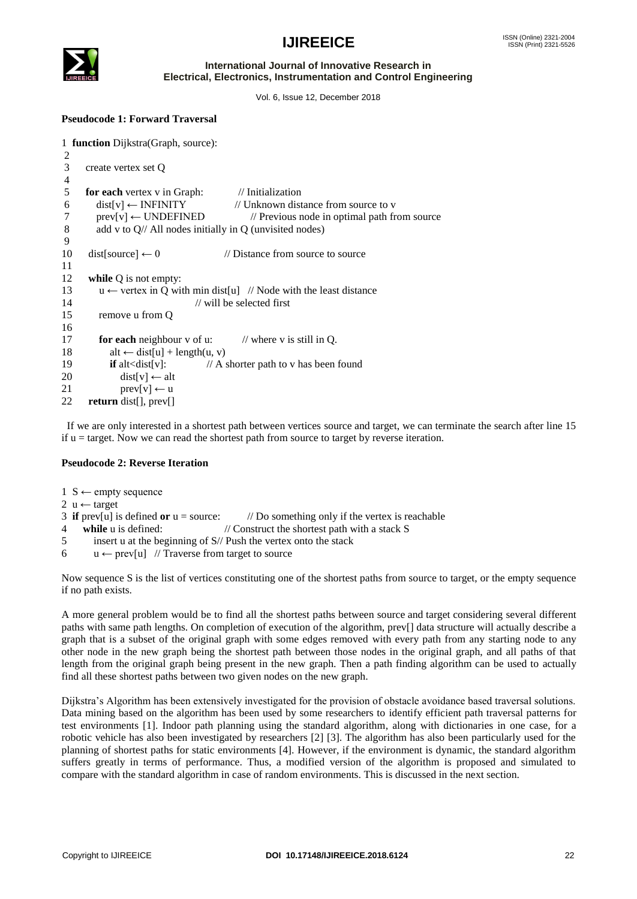



#### **International Journal of Innovative Research in Electrical, Electronics, Instrumentation and Control Engineering**

Vol. 6, Issue 12, December 2018

#### **Pseudocode 1: Forward Traversal**

```
1 function Dijkstra(Graph, source):
2
3 create vertex set Q
4
5 for each vertex v in Graph: // Initialization<br>6 dist[v] \leftarrow INFINITY // Unknown dist
6 dist[v] \leftarrow \text{INFINITE} // Unknown distance from source to v
7 prev[v] \leftarrow UNDEFINED // Previous node in optimal path from source
8 add v to Q// All nodes initially in Q (unvisited nodes)
\frac{9}{10}dist[source] \leftarrow 0 // Distance from source to source
11 
12 while Q is not empty:
13 u \leftarrow vertex in O with min dist[u] // Node with the least distance
14 // will be selected first
15 remove u from Q
16 
17 for each neighbour v of u: // where v is still in Q.
18 alt \leftarrow dist[u] + length(u, v)
19 if alt<dist[v]: // A shorter path to v has been found
20 dist[v] \leftarrow alt
21 prev[v] \leftarrow u
22 return dist[], prev[]
```
 If we are only interested in a shortest path between vertices source and target, we can terminate the search after line 15 if  $u =$  target. Now we can read the shortest path from source to target by reverse iteration.

#### **Pseudocode 2: Reverse Iteration**

- $1 S \leftarrow$  empty sequence
- 2  $u \leftarrow$  target
- 3 **if**  $prev[u]$  is defined **or**  $u = source$ : //Do something only if the vertex is reachable
- 4 **while** u is defined: // Construct the shortest path with a stack S
- 5 insert u at the beginning of S// Push the vertex onto the stack
- 6  $u \leftarrow prev[u]$  // Traverse from target to source

Now sequence S is the list of vertices constituting one of the shortest paths from source to target, or the empty sequence if no path exists.

A more general problem would be to find all the shortest paths between source and target considering several different paths with same path lengths. On completion of execution of the algorithm, prev[] data structure will actually describe a graph that is a subset of the original graph with some edges removed with every path from any starting node to any other node in the new graph being the shortest path between those nodes in the original graph, and all paths of that length from the original graph being present in the new graph. Then a path finding algorithm can be used to actually find all these shortest paths between two given nodes on the new graph.

Dijkstra's Algorithm has been extensively investigated for the provision of obstacle avoidance based traversal solutions. Data mining based on the algorithm has been used by some researchers to identify efficient path traversal patterns for test environments [1]. Indoor path planning using the standard algorithm, along with dictionaries in one case, for a robotic vehicle has also been investigated by researchers [2] [3]. The algorithm has also been particularly used for the planning of shortest paths for static environments [4]. However, if the environment is dynamic, the standard algorithm suffers greatly in terms of performance. Thus, a modified version of the algorithm is proposed and simulated to compare with the standard algorithm in case of random environments. This is discussed in the next section.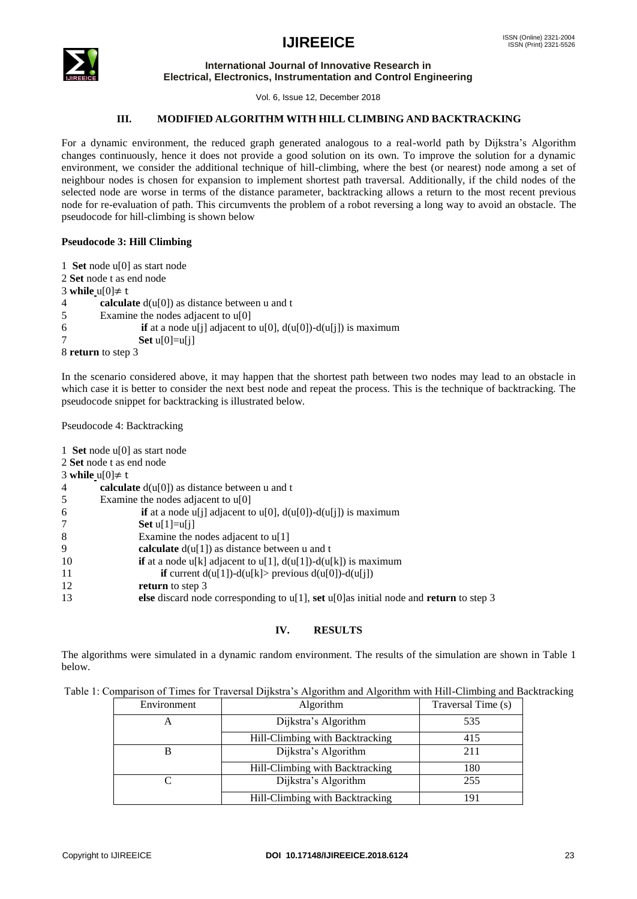## $\text{IJIREEICE}$   $\text{IMSN (Online) }$  2321-2004



#### **International Journal of Innovative Research in Electrical, Electronics, Instrumentation and Control Engineering**

Vol. 6, Issue 12, December 2018

#### **III. MODIFIED ALGORITHM WITH HILL CLIMBING AND BACKTRACKING**

For a dynamic environment, the reduced graph generated analogous to a real-world path by Dijkstra's Algorithm changes continuously, hence it does not provide a good solution on its own. To improve the solution for a dynamic environment, we consider the additional technique of hill-climbing, where the best (or nearest) node among a set of neighbour nodes is chosen for expansion to implement shortest path traversal. Additionally, if the child nodes of the selected node are worse in terms of the distance parameter, backtracking allows a return to the most recent previous node for re-evaluation of path. This circumvents the problem of a robot reversing a long way to avoid an obstacle. The pseudocode for hill-climbing is shown below

#### **Pseudocode 3: Hill Climbing**

| 1 Set node $u[0]$ as start node                                                 |  |  |
|---------------------------------------------------------------------------------|--|--|
| 2 Set node t as end node                                                        |  |  |
| 3 while $u[0] \neq t$                                                           |  |  |
| <b>calculate</b> $d(u[0])$ as distance between u and t<br>4                     |  |  |
| Examine the nodes adjacent to $u[0]$<br>-5                                      |  |  |
| <b>if</b> at a node u[j] adjacent to u[0], $d(u[0]) - d(u[i])$ is maximum<br>-6 |  |  |
| Set $u[0]=u[i]$                                                                 |  |  |
| 8 return to step 3                                                              |  |  |

In the scenario considered above, it may happen that the shortest path between two nodes may lead to an obstacle in which case it is better to consider the next best node and repeat the process. This is the technique of backtracking. The pseudocode snippet for backtracking is illustrated below.

Pseudocode 4: Backtracking

| 1 Set node $u[0]$ as start node                                                                   |
|---------------------------------------------------------------------------------------------------|
| 2 Set node t as end node                                                                          |
| 3 while $u[0] \neq t$                                                                             |
| calculate $d(u[0])$ as distance between u and t                                                   |
| Examine the nodes adjacent to $u[0]$                                                              |
| <b>if</b> at a node u[j] adjacent to u[0], $d(u[0]) - d(u[j])$ is maximum                         |
| Set $u[1]=u[i]$                                                                                   |
| Examine the nodes adjacent to $u[1]$                                                              |
| calculate $d(u[1])$ as distance between u and t                                                   |
| 10<br><b>if</b> at a node u[k] adjacent to u[1], $d(u[1]) - d(u[k])$ is maximum                   |
| 11<br>if current $d(u[1]) - d(u[k])$ previous $d(u[0]) - d(u[j])$                                 |
| 12<br><b>return</b> to step 3                                                                     |
| 13<br>else discard node corresponding to $u[1]$ , set $u[0]$ as initial node and return to step 3 |

### **IV. RESULTS**

The algorithms were simulated in a dynamic random environment. The results of the simulation are shown in Table 1 below.

| Environment | <b>Algorithm</b>                | Traversal Time (s) |
|-------------|---------------------------------|--------------------|
|             | Dijkstra's Algorithm            | 535                |
|             | Hill-Climbing with Backtracking | 415                |
|             | Dijkstra's Algorithm            | 211                |
|             | Hill-Climbing with Backtracking | 180                |
|             | Dijkstra's Algorithm            | 255                |
|             | Hill-Climbing with Backtracking |                    |